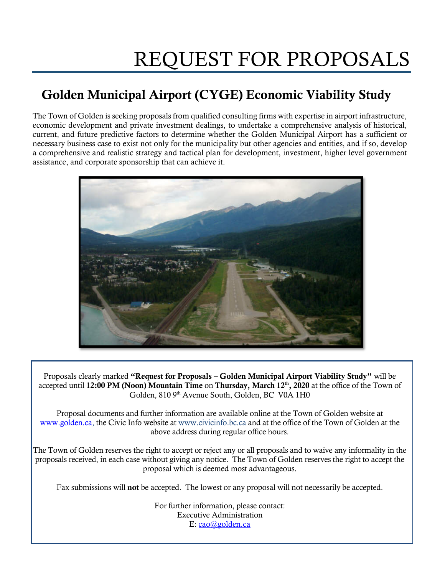# REQUEST FOR PROPOSALS

# Golden Municipal Airport (CYGE) Economic Viability Study

The Town of Golden is seeking proposals from qualified consulting firms with expertise in airport infrastructure, economic development and private investment dealings, to undertake a comprehensive analysis of historical, current, and future predictive factors to determine whether the Golden Municipal Airport has a sufficient or necessary business case to exist not only for the municipality but other agencies and entities, and if so, develop a comprehensive and realistic strategy and tactical plan for development, investment, higher level government assistance, and corporate sponsorship that can achieve it.



Proposals clearly marked "Request for Proposals – Golden Municipal Airport Viability Study" will be accepted until 12:00 PM (Noon) Mountain Time on Thursday, March  $12<sup>th</sup>$ , 2020 at the office of the Town of Golden, 810 9th Avenue South, Golden, BC V0A 1H0

Proposal documents and further information are available online at the Town of Golden website at [www.golden.ca,](http://www.golden.ca/) the Civic Info website at [www.civicinfo.bc.ca](http://www.civicinfo.bc.ca/) and at the office of the Town of Golden at the above address during regular office hours.

The Town of Golden reserves the right to accept or reject any or all proposals and to waive any informality in the proposals received, in each case without giving any notice. The Town of Golden reserves the right to accept the proposal which is deemed most advantageous.

Fax submissions will not be accepted. The lowest or any proposal will not necessarily be accepted.

For further information, please contact: Executive Administration E: cao@golden.ca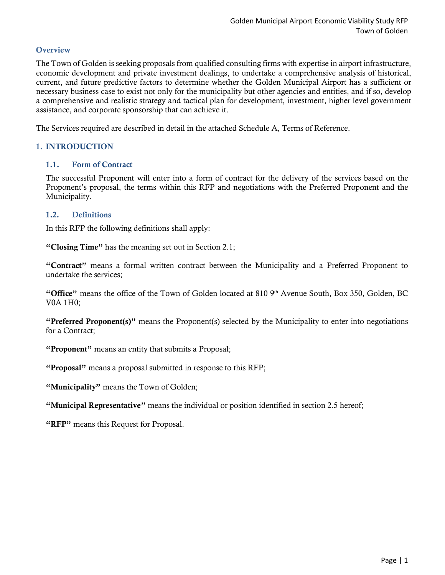# **Overview**

The Town of Golden is seeking proposals from qualified consulting firms with expertise in airport infrastructure, economic development and private investment dealings, to undertake a comprehensive analysis of historical, current, and future predictive factors to determine whether the Golden Municipal Airport has a sufficient or necessary business case to exist not only for the municipality but other agencies and entities, and if so, develop a comprehensive and realistic strategy and tactical plan for development, investment, higher level government assistance, and corporate sponsorship that can achieve it.

The Services required are described in detail in the attached Schedule A, Terms of Reference.

# 1. INTRODUCTION

# 1.1. Form of Contract

The successful Proponent will enter into a form of contract for the delivery of the services based on the Proponent's proposal, the terms within this RFP and negotiations with the Preferred Proponent and the Municipality.

# 1.2. Definitions

In this RFP the following definitions shall apply:

"Closing Time" has the meaning set out in Section 2.1;

"Contract" means a formal written contract between the Municipality and a Preferred Proponent to undertake the services;

"Office" means the office of the Town of Golden located at 810  $9<sup>th</sup>$  Avenue South, Box 350, Golden, BC V0A 1H0;

"Preferred Proponent(s)" means the Proponent(s) selected by the Municipality to enter into negotiations for a Contract;

"Proponent" means an entity that submits a Proposal;

"Proposal" means a proposal submitted in response to this RFP;

"Municipality" means the Town of Golden;

"Municipal Representative" means the individual or position identified in section 2.5 hereof;

"RFP" means this Request for Proposal.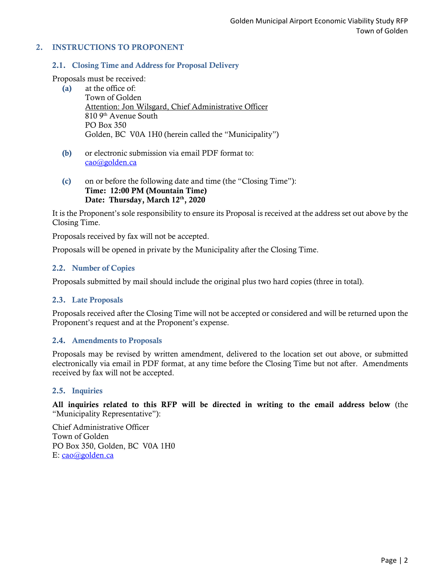# 2. INSTRUCTIONS TO PROPONENT

#### 2.1. Closing Time and Address for Proposal Delivery

Proposals must be received:

- (a) at the office of: Town of Golden Attention: Jon Wilsgard, Chief Administrative Officer 810 9<sup>th</sup> Avenue South PO Box 350 Golden, BC V0A 1H0 (herein called the "Municipality")
- (b) or electronic submission via email PDF format to: [cao@golden.ca](mailto:opsadmin@csrd.bc.ca)
- (c) on or before the following date and time (the "Closing Time"): Time: 12:00 PM (Mountain Time) Date: Thursday, March 12<sup>th</sup>, 2020

It is the Proponent's sole responsibility to ensure its Proposal is received at the address set out above by the Closing Time.

Proposals received by fax will not be accepted.

Proposals will be opened in private by the Municipality after the Closing Time.

#### 2.2. Number of Copies

Proposals submitted by mail should include the original plus two hard copies (three in total).

#### 2.3. Late Proposals

Proposals received after the Closing Time will not be accepted or considered and will be returned upon the Proponent's request and at the Proponent's expense.

#### 2.4. Amendments to Proposals

Proposals may be revised by written amendment, delivered to the location set out above, or submitted electronically via email in PDF format, at any time before the Closing Time but not after. Amendments received by fax will not be accepted.

#### 2.5. Inquiries

All inquiries related to this RFP will be directed in writing to the email address below (the "Municipality Representative"):

Chief Administrative Officer Town of Golden PO Box 350, Golden, BC V0A 1H0 E: cao@golden.ca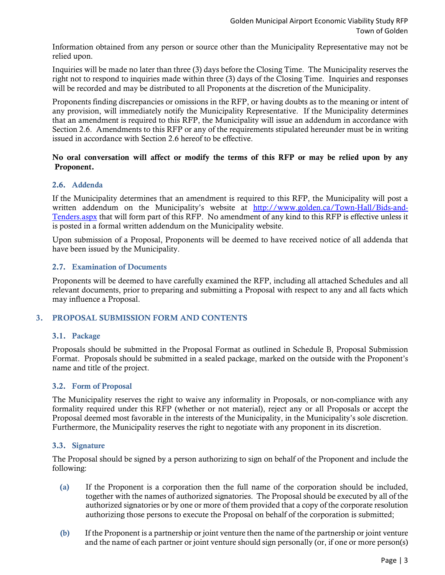Information obtained from any person or source other than the Municipality Representative may not be relied upon.

Inquiries will be made no later than three (3) days before the Closing Time. The Municipality reserves the right not to respond to inquiries made within three (3) days of the Closing Time. Inquiries and responses will be recorded and may be distributed to all Proponents at the discretion of the Municipality.

Proponents finding discrepancies or omissions in the RFP, or having doubts as to the meaning or intent of any provision, will immediately notify the Municipality Representative. If the Municipality determines that an amendment is required to this RFP, the Municipality will issue an addendum in accordance with Section 2.6. Amendments to this RFP or any of the requirements stipulated hereunder must be in writing issued in accordance with Section 2.6 hereof to be effective.

# No oral conversation will affect or modify the terms of this RFP or may be relied upon by any Proponent.

# 2.6. Addenda

If the Municipality determines that an amendment is required to this RFP, the Municipality will post a written addendum on the Municipality's website at [http://www.golden.ca/Town-Hall/Bids-and-](http://www.golden.ca/Town-Hall/Bids-and-Tenders.aspx)[Tenders.aspx](http://www.golden.ca/Town-Hall/Bids-and-Tenders.aspx) that will form part of this RFP. No amendment of any kind to this RFP is effective unless it is posted in a formal written addendum on the Municipality website.

Upon submission of a Proposal, Proponents will be deemed to have received notice of all addenda that have been issued by the Municipality.

# 2.7. Examination of Documents

Proponents will be deemed to have carefully examined the RFP, including all attached Schedules and all relevant documents, prior to preparing and submitting a Proposal with respect to any and all facts which may influence a Proposal.

# 3. PROPOSAL SUBMISSION FORM AND CONTENTS

# 3.1. Package

Proposals should be submitted in the Proposal Format as outlined in Schedule B, Proposal Submission Format. Proposals should be submitted in a sealed package, marked on the outside with the Proponent's name and title of the project.

# 3.2. Form of Proposal

The Municipality reserves the right to waive any informality in Proposals, or non-compliance with any formality required under this RFP (whether or not material), reject any or all Proposals or accept the Proposal deemed most favorable in the interests of the Municipality, in the Municipality's sole discretion. Furthermore, the Municipality reserves the right to negotiate with any proponent in its discretion.

# 3.3. Signature

The Proposal should be signed by a person authorizing to sign on behalf of the Proponent and include the following:

- (a) If the Proponent is a corporation then the full name of the corporation should be included, together with the names of authorized signatories. The Proposal should be executed by all of the authorized signatories or by one or more of them provided that a copy of the corporate resolution authorizing those persons to execute the Proposal on behalf of the corporation is submitted;
- (b) If the Proponent is a partnership or joint venture then the name of the partnership or joint venture and the name of each partner or joint venture should sign personally (or, if one or more person(s)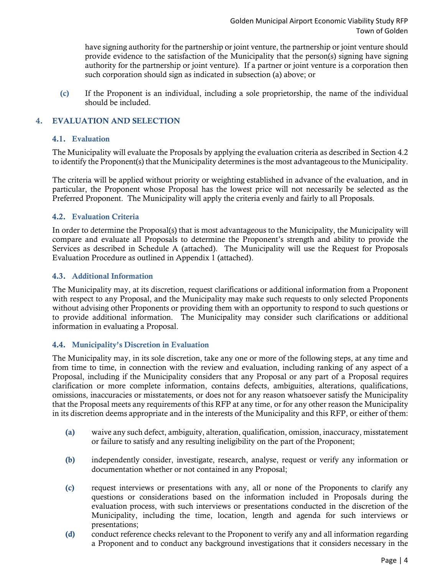have signing authority for the partnership or joint venture, the partnership or joint venture should provide evidence to the satisfaction of the Municipality that the person(s) signing have signing authority for the partnership or joint venture). If a partner or joint venture is a corporation then such corporation should sign as indicated in subsection (a) above; or

(c) If the Proponent is an individual, including a sole proprietorship, the name of the individual should be included.

# 4. EVALUATION AND SELECTION

#### 4.1. Evaluation

The Municipality will evaluate the Proposals by applying the evaluation criteria as described in Section 4.2 to identify the Proponent(s) that the Municipality determines is the most advantageous to the Municipality.

The criteria will be applied without priority or weighting established in advance of the evaluation, and in particular, the Proponent whose Proposal has the lowest price will not necessarily be selected as the Preferred Proponent. The Municipality will apply the criteria evenly and fairly to all Proposals.

# 4.2. Evaluation Criteria

In order to determine the Proposal(s) that is most advantageous to the Municipality, the Municipality will compare and evaluate all Proposals to determine the Proponent's strength and ability to provide the Services as described in Schedule A (attached). The Municipality will use the Request for Proposals Evaluation Procedure as outlined in Appendix 1 (attached).

#### 4.3. Additional Information

The Municipality may, at its discretion, request clarifications or additional information from a Proponent with respect to any Proposal, and the Municipality may make such requests to only selected Proponents without advising other Proponents or providing them with an opportunity to respond to such questions or to provide additional information. The Municipality may consider such clarifications or additional information in evaluating a Proposal.

#### 4.4. Municipality's Discretion in Evaluation

The Municipality may, in its sole discretion, take any one or more of the following steps, at any time and from time to time, in connection with the review and evaluation, including ranking of any aspect of a Proposal, including if the Municipality considers that any Proposal or any part of a Proposal requires clarification or more complete information, contains defects, ambiguities, alterations, qualifications, omissions, inaccuracies or misstatements, or does not for any reason whatsoever satisfy the Municipality that the Proposal meets any requirements of this RFP at any time, or for any other reason the Municipality in its discretion deems appropriate and in the interests of the Municipality and this RFP, or either of them:

- (a) waive any such defect, ambiguity, alteration, qualification, omission, inaccuracy, misstatement or failure to satisfy and any resulting ineligibility on the part of the Proponent;
- (b) independently consider, investigate, research, analyse, request or verify any information or documentation whether or not contained in any Proposal;
- (c) request interviews or presentations with any, all or none of the Proponents to clarify any questions or considerations based on the information included in Proposals during the evaluation process, with such interviews or presentations conducted in the discretion of the Municipality, including the time, location, length and agenda for such interviews or presentations;
- (d) conduct reference checks relevant to the Proponent to verify any and all information regarding a Proponent and to conduct any background investigations that it considers necessary in the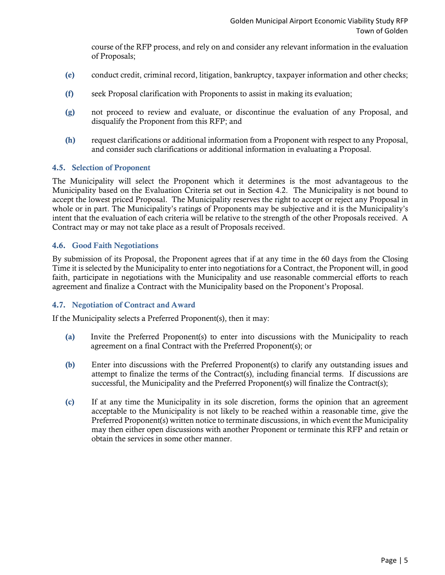course of the RFP process, and rely on and consider any relevant information in the evaluation of Proposals;

- (e) conduct credit, criminal record, litigation, bankruptcy, taxpayer information and other checks;
- (f) seek Proposal clarification with Proponents to assist in making its evaluation;
- (g) not proceed to review and evaluate, or discontinue the evaluation of any Proposal, and disqualify the Proponent from this RFP; and
- (h) request clarifications or additional information from a Proponent with respect to any Proposal, and consider such clarifications or additional information in evaluating a Proposal.

#### 4.5. Selection of Proponent

The Municipality will select the Proponent which it determines is the most advantageous to the Municipality based on the Evaluation Criteria set out in Section 4.2. The Municipality is not bound to accept the lowest priced Proposal. The Municipality reserves the right to accept or reject any Proposal in whole or in part. The Municipality's ratings of Proponents may be subjective and it is the Municipality's intent that the evaluation of each criteria will be relative to the strength of the other Proposals received. A Contract may or may not take place as a result of Proposals received.

#### 4.6. Good Faith Negotiations

By submission of its Proposal, the Proponent agrees that if at any time in the 60 days from the Closing Time it is selected by the Municipality to enter into negotiations for a Contract, the Proponent will, in good faith, participate in negotiations with the Municipality and use reasonable commercial efforts to reach agreement and finalize a Contract with the Municipality based on the Proponent's Proposal.

#### 4.7. Negotiation of Contract and Award

If the Municipality selects a Preferred Proponent(s), then it may:

- (a) Invite the Preferred Proponent(s) to enter into discussions with the Municipality to reach agreement on a final Contract with the Preferred Proponent(s); or
- (b) Enter into discussions with the Preferred Proponent(s) to clarify any outstanding issues and attempt to finalize the terms of the Contract(s), including financial terms. If discussions are successful, the Municipality and the Preferred Proponent(s) will finalize the Contract(s);
- (c) If at any time the Municipality in its sole discretion, forms the opinion that an agreement acceptable to the Municipality is not likely to be reached within a reasonable time, give the Preferred Proponent(s) written notice to terminate discussions, in which event the Municipality may then either open discussions with another Proponent or terminate this RFP and retain or obtain the services in some other manner.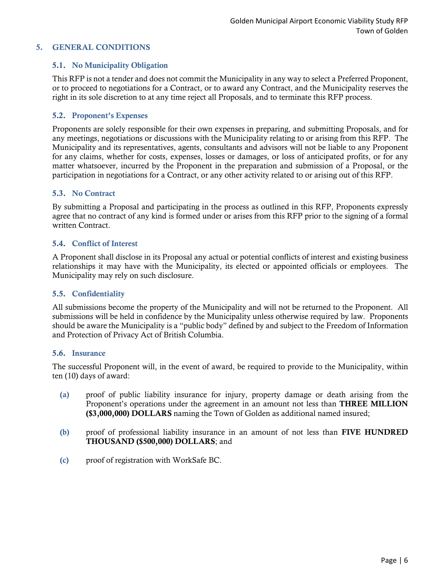# 5. GENERAL CONDITIONS

# 5.1. No Municipality Obligation

This RFP is not a tender and does not commit the Municipality in any way to select a Preferred Proponent, or to proceed to negotiations for a Contract, or to award any Contract, and the Municipality reserves the right in its sole discretion to at any time reject all Proposals, and to terminate this RFP process.

#### 5.2. Proponent's Expenses

Proponents are solely responsible for their own expenses in preparing, and submitting Proposals, and for any meetings, negotiations or discussions with the Municipality relating to or arising from this RFP. The Municipality and its representatives, agents, consultants and advisors will not be liable to any Proponent for any claims, whether for costs, expenses, losses or damages, or loss of anticipated profits, or for any matter whatsoever, incurred by the Proponent in the preparation and submission of a Proposal, or the participation in negotiations for a Contract, or any other activity related to or arising out of this RFP.

#### 5.3. No Contract

By submitting a Proposal and participating in the process as outlined in this RFP, Proponents expressly agree that no contract of any kind is formed under or arises from this RFP prior to the signing of a formal written Contract.

#### 5.4. Conflict of Interest

A Proponent shall disclose in its Proposal any actual or potential conflicts of interest and existing business relationships it may have with the Municipality, its elected or appointed officials or employees. The Municipality may rely on such disclosure.

#### 5.5. Confidentiality

All submissions become the property of the Municipality and will not be returned to the Proponent. All submissions will be held in confidence by the Municipality unless otherwise required by law. Proponents should be aware the Municipality is a "public body" defined by and subject to the Freedom of Information and Protection of Privacy Act of British Columbia.

#### 5.6. Insurance

The successful Proponent will, in the event of award, be required to provide to the Municipality, within ten (10) days of award:

- (a) proof of public liability insurance for injury, property damage or death arising from the Proponent's operations under the agreement in an amount not less than THREE MILLION (\$3,000,000) DOLLARS naming the Town of Golden as additional named insured;
- (b) proof of professional liability insurance in an amount of not less than FIVE HUNDRED THOUSAND (\$500,000) DOLLARS; and
- (c) proof of registration with WorkSafe BC.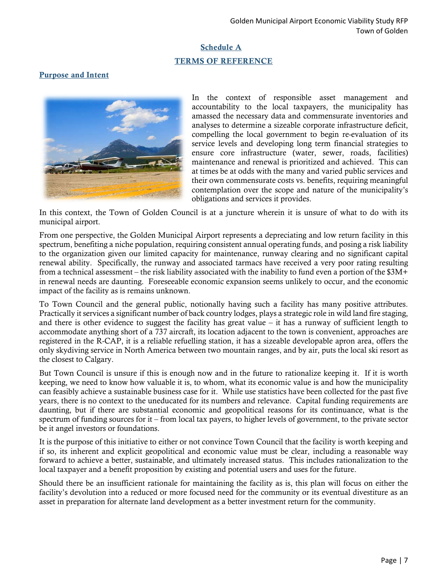# Schedule A TERMS OF REFERENCE

# Purpose and Intent



In the context of responsible asset management and accountability to the local taxpayers, the municipality has amassed the necessary data and commensurate inventories and analyses to determine a sizeable corporate infrastructure deficit, compelling the local government to begin re-evaluation of its service levels and developing long term financial strategies to ensure core infrastructure (water, sewer, roads, facilities) maintenance and renewal is prioritized and achieved. This can at times be at odds with the many and varied public services and their own commensurate costs vs. benefits, requiring meaningful contemplation over the scope and nature of the municipality's obligations and services it provides.

In this context, the Town of Golden Council is at a juncture wherein it is unsure of what to do with its municipal airport.

From one perspective, the Golden Municipal Airport represents a depreciating and low return facility in this spectrum, benefiting a niche population, requiring consistent annual operating funds, and posing a risk liability to the organization given our limited capacity for maintenance, runway clearing and no significant capital renewal ability. Specifically, the runway and associated tarmacs have received a very poor rating resulting from a technical assessment – the risk liability associated with the inability to fund even a portion of the \$3M+ in renewal needs are daunting. Foreseeable economic expansion seems unlikely to occur, and the economic impact of the facility as is remains unknown.

To Town Council and the general public, notionally having such a facility has many positive attributes. Practically it services a significant number of back country lodges, plays a strategic role in wild land fire staging, and there is other evidence to suggest the facility has great value  $-$  it has a runway of sufficient length to accommodate anything short of a 737 aircraft, its location adjacent to the town is convenient, approaches are registered in the R-CAP, it is a reliable refuelling station, it has a sizeable developable apron area, offers the only skydiving service in North America between two mountain ranges, and by air, puts the local ski resort as the closest to Calgary.

But Town Council is unsure if this is enough now and in the future to rationalize keeping it. If it is worth keeping, we need to know how valuable it is, to whom, what its economic value is and how the municipality can feasibly achieve a sustainable business case for it. While use statistics have been collected for the past five years, there is no context to the uneducated for its numbers and relevance. Capital funding requirements are daunting, but if there are substantial economic and geopolitical reasons for its continuance, what is the spectrum of funding sources for it – from local tax payers, to higher levels of government, to the private sector be it angel investors or foundations.

It is the purpose of this initiative to either or not convince Town Council that the facility is worth keeping and if so, its inherent and explicit geopolitical and economic value must be clear, including a reasonable way forward to achieve a better, sustainable, and ultimately increased status. This includes rationalization to the local taxpayer and a benefit proposition by existing and potential users and uses for the future.

Should there be an insufficient rationale for maintaining the facility as is, this plan will focus on either the facility's devolution into a reduced or more focused need for the community or its eventual divestiture as an asset in preparation for alternate land development as a better investment return for the community.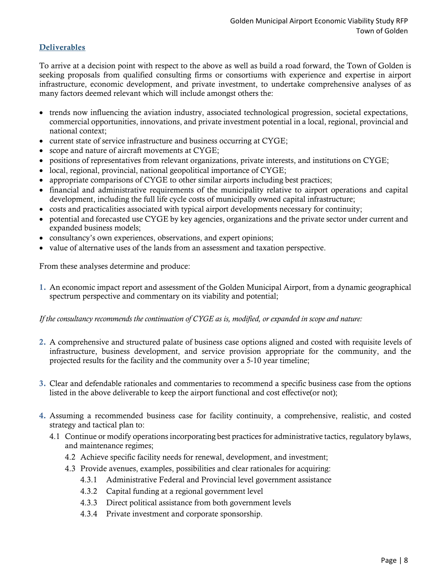# Deliverables

To arrive at a decision point with respect to the above as well as build a road forward, the Town of Golden is seeking proposals from qualified consulting firms or consortiums with experience and expertise in airport infrastructure, economic development, and private investment, to undertake comprehensive analyses of as many factors deemed relevant which will include amongst others the:

- trends now influencing the aviation industry, associated technological progression, societal expectations, commercial opportunities, innovations, and private investment potential in a local, regional, provincial and national context;
- current state of service infrastructure and business occurring at CYGE;
- scope and nature of aircraft movements at CYGE;
- positions of representatives from relevant organizations, private interests, and institutions on CYGE;
- local, regional, provincial, national geopolitical importance of CYGE;
- appropriate comparisons of CYGE to other similar airports including best practices;
- financial and administrative requirements of the municipality relative to airport operations and capital development, including the full life cycle costs of municipally owned capital infrastructure;
- costs and practicalities associated with typical airport developments necessary for continuity;
- potential and forecasted use CYGE by key agencies, organizations and the private sector under current and expanded business models;
- consultancy's own experiences, observations, and expert opinions;
- value of alternative uses of the lands from an assessment and taxation perspective.

From these analyses determine and produce:

1. An economic impact report and assessment of the Golden Municipal Airport, from a dynamic geographical spectrum perspective and commentary on its viability and potential;

*If the consultancy recommends the continuation of CYGE as is, modified, or expanded in scope and nature:*

- 2. A comprehensive and structured palate of business case options aligned and costed with requisite levels of infrastructure, business development, and service provision appropriate for the community, and the projected results for the facility and the community over a 5-10 year timeline;
- 3. Clear and defendable rationales and commentaries to recommend a specific business case from the options listed in the above deliverable to keep the airport functional and cost effective(or not);
- 4. Assuming a recommended business case for facility continuity, a comprehensive, realistic, and costed strategy and tactical plan to:
	- 4.1 Continue or modify operations incorporating best practices for administrative tactics, regulatory bylaws, and maintenance regimes;
		- 4.2 Achieve specific facility needs for renewal, development, and investment;
		- 4.3 Provide avenues, examples, possibilities and clear rationales for acquiring:
			- 4.3.1 Administrative Federal and Provincial level government assistance
			- 4.3.2 Capital funding at a regional government level
			- 4.3.3 Direct political assistance from both government levels
			- 4.3.4 Private investment and corporate sponsorship.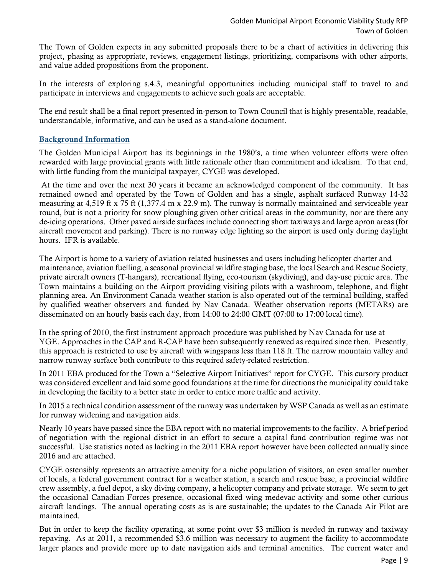The Town of Golden expects in any submitted proposals there to be a chart of activities in delivering this project, phasing as appropriate, reviews, engagement listings, prioritizing, comparisons with other airports, and value added propositions from the proponent.

In the interests of exploring s.4.3, meaningful opportunities including municipal staff to travel to and participate in interviews and engagements to achieve such goals are acceptable.

The end result shall be a final report presented in-person to Town Council that is highly presentable, readable, understandable, informative, and can be used as a stand-alone document.

# Background Information

The Golden Municipal Airport has its beginnings in the 1980's, a time when volunteer efforts were often rewarded with large provincial grants with little rationale other than commitment and idealism. To that end, with little funding from the municipal taxpayer, CYGE was developed.

At the time and over the next 30 years it became an acknowledged component of the community. It has remained owned and operated by the Town of Golden and has a single, asphalt surfaced Runway 14-32 measuring at 4,519 ft x 75 ft (1,377.4 m x 22.9 m). The runway is normally maintained and serviceable year round, but is not a priority for snow ploughing given other critical areas in the community, nor are there any de-icing operations. Other paved airside surfaces include connecting short taxiways and large apron areas (for aircraft movement and parking). There is no runway edge lighting so the airport is used only during daylight hours. IFR is available.

The Airport is home to a variety of aviation related businesses and users including helicopter charter and maintenance, aviation fuelling, a seasonal provincial wildfire staging base, the local Search and Rescue Society, private aircraft owners (T-hangars), recreational flying, eco-tourism (skydiving), and day-use picnic area. The Town maintains a building on the Airport providing visiting pilots with a washroom, telephone, and flight planning area. An Environment Canada weather station is also operated out of the terminal building, staffed by qualified weather observers and funded by Nav Canada. Weather observation reports (METARs) are disseminated on an hourly basis each day, from 14:00 to 24:00 GMT (07:00 to 17:00 local time).

In the spring of 2010, the first instrument approach procedure was published by Nav Canada for use at YGE. Approaches in the CAP and R-CAP have been subsequently renewed as required since then. Presently, this approach is restricted to use by aircraft with wingspans less than 118 ft. The narrow mountain valley and narrow runway surface both contribute to this required safety-related restriction.

In 2011 EBA produced for the Town a "Selective Airport Initiatives" report for CYGE. This cursory product was considered excellent and laid some good foundations at the time for directions the municipality could take in developing the facility to a better state in order to entice more traffic and activity.

In 2015 a technical condition assessment of the runway was undertaken by WSP Canada as well as an estimate for runway widening and navigation aids.

Nearly 10 years have passed since the EBA report with no material improvements to the facility. A brief period of negotiation with the regional district in an effort to secure a capital fund contribution regime was not successful. Use statistics noted as lacking in the 2011 EBA report however have been collected annually since 2016 and are attached.

CYGE ostensibly represents an attractive amenity for a niche population of visitors, an even smaller number of locals, a federal government contract for a weather station, a search and rescue base, a provincial wildfire crew assembly, a fuel depot, a sky diving company, a helicopter company and private storage. We seem to get the occasional Canadian Forces presence, occasional fixed wing medevac activity and some other curious aircraft landings. The annual operating costs as is are sustainable; the updates to the Canada Air Pilot are maintained.

But in order to keep the facility operating, at some point over \$3 million is needed in runway and taxiway repaving. As at 2011, a recommended \$3.6 million was necessary to augment the facility to accommodate larger planes and provide more up to date navigation aids and terminal amenities. The current water and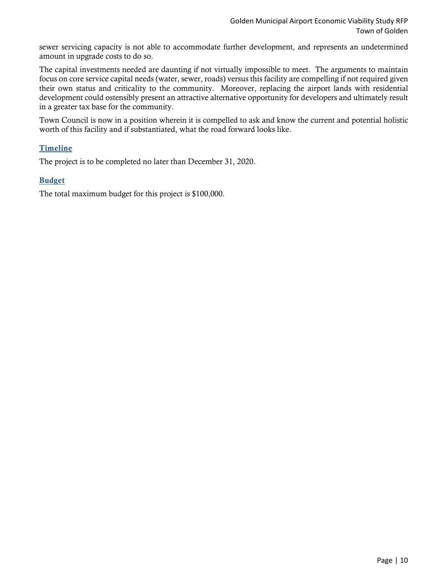sewer servicing capacity is not able to accommodate further development, and represents an undetermined amount in upgrade costs to do so.

The capital investments needed are daunting if not virtually impossible to meet. The arguments to maintain focus on core service capital needs (water, sewer, roads) versus this facility are compelling if not required given their own status and criticality to the community. Moreover, replacing the airport lands with residential development could ostensibly present an attractive alternative opportunity for developers and ultimately result in a greater tax base for the community.

Town Council is now in a position wherein it is compelled to ask and know the current and potential holistic worth of this facility and if substantiated, what the road forward looks like.

# Timeline

The project is to be completed no later than December 31, 2020.

#### Budget

The total maximum budget for this project is \$100,000.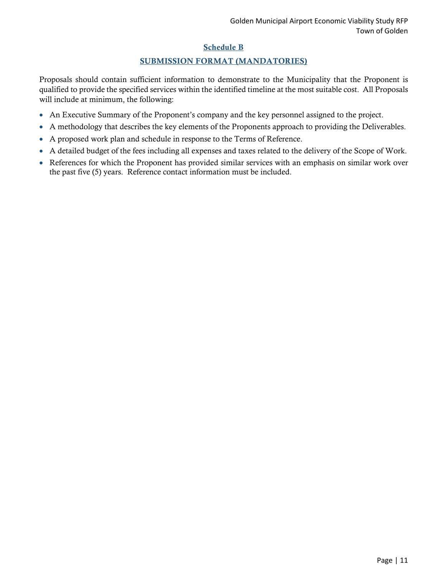# Schedule B

# SUBMISSION FORMAT (MANDATORIES)

Proposals should contain sufficient information to demonstrate to the Municipality that the Proponent is qualified to provide the specified services within the identified timeline at the most suitable cost. All Proposals will include at minimum, the following:

- An Executive Summary of the Proponent's company and the key personnel assigned to the project.
- A methodology that describes the key elements of the Proponents approach to providing the Deliverables.
- A proposed work plan and schedule in response to the Terms of Reference.
- A detailed budget of the fees including all expenses and taxes related to the delivery of the Scope of Work.
- References for which the Proponent has provided similar services with an emphasis on similar work over the past five (5) years. Reference contact information must be included.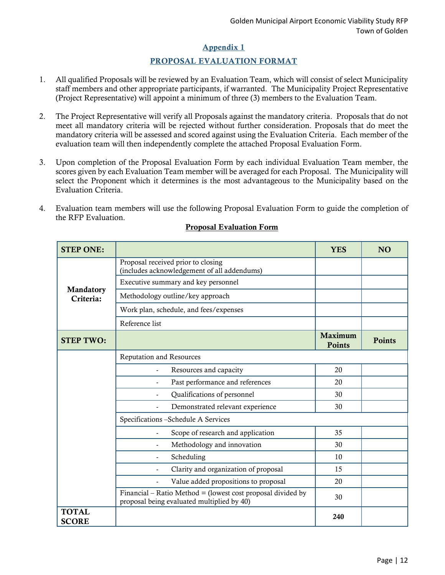# Appendix 1

# PROPOSAL EVALUATION FORMAT

- 1. All qualified Proposals will be reviewed by an Evaluation Team, which will consist of select Municipality staff members and other appropriate participants, if warranted. The Municipality Project Representative (Project Representative) will appoint a minimum of three (3) members to the Evaluation Team.
- 2. The Project Representative will verify all Proposals against the mandatory criteria. Proposals that do not meet all mandatory criteria will be rejected without further consideration. Proposals that do meet the mandatory criteria will be assessed and scored against using the Evaluation Criteria. Each member of the evaluation team will then independently complete the attached Proposal Evaluation Form.
- 3. Upon completion of the Proposal Evaluation Form by each individual Evaluation Team member, the scores given by each Evaluation Team member will be averaged for each Proposal. The Municipality will select the Proponent which it determines is the most advantageous to the Municipality based on the Evaluation Criteria.
- 4. Evaluation team members will use the following Proposal Evaluation Form to guide the completion of the RFP Evaluation.

| <b>STEP ONE:</b>             |                                                                                                           | <b>YES</b>                      | N <sub>O</sub> |
|------------------------------|-----------------------------------------------------------------------------------------------------------|---------------------------------|----------------|
| Mandatory<br>Criteria:       | Proposal received prior to closing<br>(includes acknowledgement of all addendums)                         |                                 |                |
|                              | Executive summary and key personnel                                                                       |                                 |                |
|                              | Methodology outline/key approach                                                                          |                                 |                |
|                              | Work plan, schedule, and fees/expenses                                                                    |                                 |                |
|                              | Reference list                                                                                            |                                 |                |
| <b>STEP TWO:</b>             |                                                                                                           | <b>Maximum</b><br><b>Points</b> | <b>Points</b>  |
|                              | Reputation and Resources                                                                                  |                                 |                |
|                              | Resources and capacity<br>$\overline{\phantom{a}}$                                                        | 20                              |                |
|                              | Past performance and references<br>$\tilde{\phantom{a}}$                                                  | 20                              |                |
|                              | Qualifications of personnel                                                                               | 30                              |                |
|                              | Demonstrated relevant experience                                                                          | 30                              |                |
|                              | Specifications - Schedule A Services                                                                      |                                 |                |
|                              | Scope of research and application<br>$\overline{a}$                                                       | 35                              |                |
|                              | Methodology and innovation                                                                                | 30                              |                |
|                              | Scheduling<br>$\tilde{\phantom{a}}$                                                                       | 10                              |                |
|                              | Clarity and organization of proposal                                                                      | 15                              |                |
|                              | Value added propositions to proposal                                                                      | 20                              |                |
|                              | Financial – Ratio Method = (lowest cost proposal divided by<br>proposal being evaluated multiplied by 40) | 30                              |                |
| <b>TOTAL</b><br><b>SCORE</b> |                                                                                                           | 240                             |                |

#### Proposal Evaluation Form